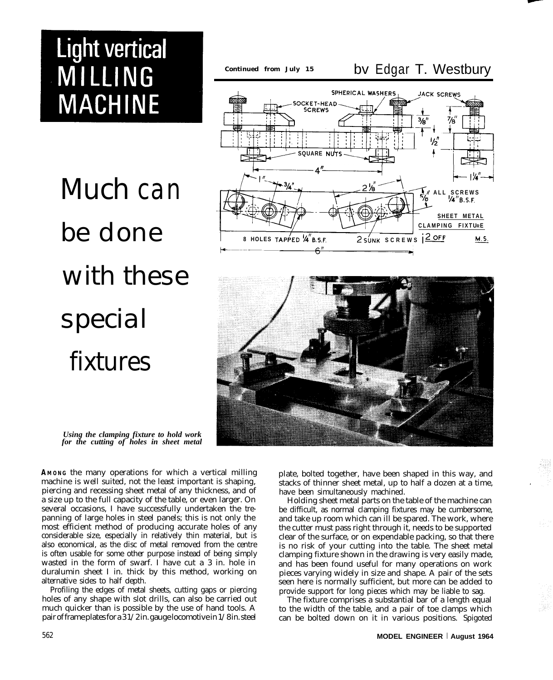# **Light vertical** MILLING **MACHINE**

*Much can be done with these special fixtures*

#### *Continued from July 15* bv Edgar T. Westbury SPHERICAL WASHERS JACK SCREWS **SOCKET-HEAD SCREWS**  $\frac{7}{6}$  $\frac{3}{8}$ 1/2

ጋ '/ຊ

SQUARE NUTS



*Using the clamping fixture to hold work for the cutting of holes in sheet metal*

**AMONG** the many operations for which a vertical milling machine is well suited, not the least important is shaping, piercing and recessing sheet metal of any thickness, and of a size up to the full capacity of the table, or even larger. On several occasions, I have successfully undertaken the trepanning of large holes in steel panels; this is not only the most efficient method of producing accurate holes of any considerable size, especially in relatively thin material, but is also economical, as the disc of metal removed from the centre is often usable for some other purpose instead of being simply wasted in the form of swarf. I have cut a 3 in. hole in duralumin sheet I in. thick by this method, working on alternative sides to half depth.

Profiling the edges of metal sheets, cutting gaps or piercing holes of any shape with slot drills, can also be carried out much quicker than is possible by the use of hand tools. A pair of frame plates for a 3 1/2 in. gauge locomotive in 1/8 in. steel plate, bolted together, have been shaped in this way, and stacks of thinner sheet metal, up to half a dozen at a time, have been simultaneously machined.

Holding sheet metal parts on the table of the machine can be difficult, as normal clamping fixtures may be cumbersome, and take up room which can ill be spared. The work, where the cutter must pass right through it, needs to be supported clear of the surface, or on expendable packing, so that there is no risk of your cutting into the table. The sheet metal clamping fixture shown in the drawing is very easily made, and has been found useful for many operations on work pieces varying widely in size and shape. A pair of the sets seen here is normally sufficient, but more can be added to provide support for long pieces which may be liable to sag.

The fixture comprises a substantial bar of a length equal to the width of the table, and a pair of toe clamps which can be bolted down on it in various positions. Spigoted

**' ALL SCREWS '/4"E.S.F.**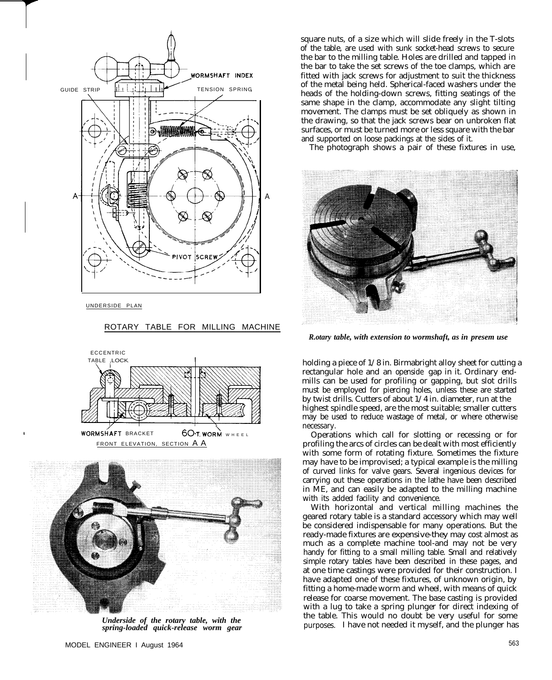

UNDERSIDE PLAN

#### ROTARY TABLE FOR MILLING MACHINE





*Underside of the rotary table, with the spring-loaded quick-release worm gear*

square nuts, of a size which will slide freely in the T-slots of the table, are used with sunk socket-head screws to secure the bar to the milling table. Holes are drilled and tapped in the bar to take the set screws of the toe clamps, which are fitted with jack screws for adjustment to suit the thickness of the metal being held. Spherical-faced washers under the heads of the holding-down screws, fitting seatings of the same shape in the clamp, accommodate any slight tilting movement. The clamps must be set obliquely as shown in the drawing, so that the jack screws bear on unbroken flat surfaces, or must be turned more or less square with the bar and supported on loose packings at the sides of it.

The photograph shows a pair of these fixtures in use,



*R.otary table, with extension to wormshaft, as in presem use*

holding a piece of  $1/8$  in. Birmabright alloy sheet for cutting a rectangular hole and an openside gap in it. Ordinary endmills can be used for profiling or gapping, but slot drills must be employed for piercing holes, unless these are started by twist drills. Cutters of about 1/4 in. diameter, run at the highest spindle speed, are the most suitable; smaller cutters may be used to reduce wastage of metal, or where otherwise necessary.

Operations which call for slotting or recessing or for profiling the arcs of circles can be dealt with most efficiently with some form of rotating fixture. Sometimes the fixture may have to be improvised; a typical example is the milling of curved links for valve gears. Several ingenious devices for carrying out these operations in the lathe have been described in ME, and can easily be adapted to the milling machine with its added facility and convenience.

With horizontal and vertical milling machines the geared rotary table is a standard accessory which may well be considered indispensable for many operations. But the ready-made fixtures are expensive-they may cost almost as much as a complete machine tool-and may not be very handy for fitting to a small milling table. Small and relatively simple rotary tables have been described in these pages, and at one time castings were provided for their construction. I have adapted one of these fixtures, of unknown origin, by fitting a home-made worm and wheel, with means of quick release for coarse movement. The base casting is provided with a lug to take a spring plunger for direct indexing of the table. This would no doubt be very useful for some purposes. I have not needed it myself, and the plunger has